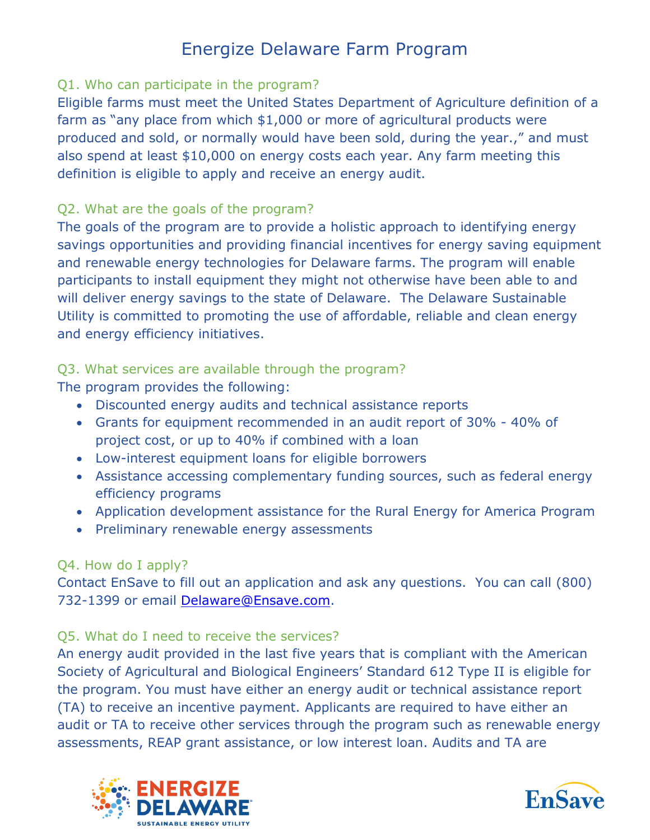### Q1. Who can participate in the program?

Eligible farms must meet the United States Department of Agriculture definition of a farm as "any place from which \$1,000 or more of agricultural products were produced and sold, or normally would have been sold, during the year.," and must also spend at least \$10,000 on energy costs each year. Any farm meeting this definition is eligible to apply and receive an energy audit.

#### Q2. What are the goals of the program?

The goals of the program are to provide a holistic approach to identifying energy savings opportunities and providing financial incentives for energy saving equipment and renewable energy technologies for Delaware farms. The program will enable participants to install equipment they might not otherwise have been able to and will deliver energy savings to the state of Delaware. The Delaware Sustainable Utility is committed to promoting the use of affordable, reliable and clean energy and energy efficiency initiatives.

# Q3. What services are available through the program?

The program provides the following:

- Discounted energy audits and technical assistance reports
- Grants for equipment recommended in an audit report of 30% 40% of project cost, or up to 40% if combined with a loan
- Low-interest equipment loans for eligible borrowers
- Assistance accessing complementary funding sources, such as federal energy efficiency programs
- Application development assistance for the Rural Energy for America Program
- Preliminary renewable energy assessments

# Q4. How do I apply?

Contact EnSave to fill out an application and ask any questions. You can call (800) 732-1399 or email [Delaware@Ensave.com.](mailto:Delaware@Ensave.com)

# Q5. What do I need to receive the services?

An energy audit provided in the last five years that is compliant with the American Society of Agricultural and Biological Engineers' Standard 612 Type II is eligible for the program. You must have either an energy audit or technical assistance report (TA) to receive an incentive payment. Applicants are required to have either an audit or TA to receive other services through the program such as renewable energy assessments, REAP grant assistance, or low interest loan. Audits and TA are



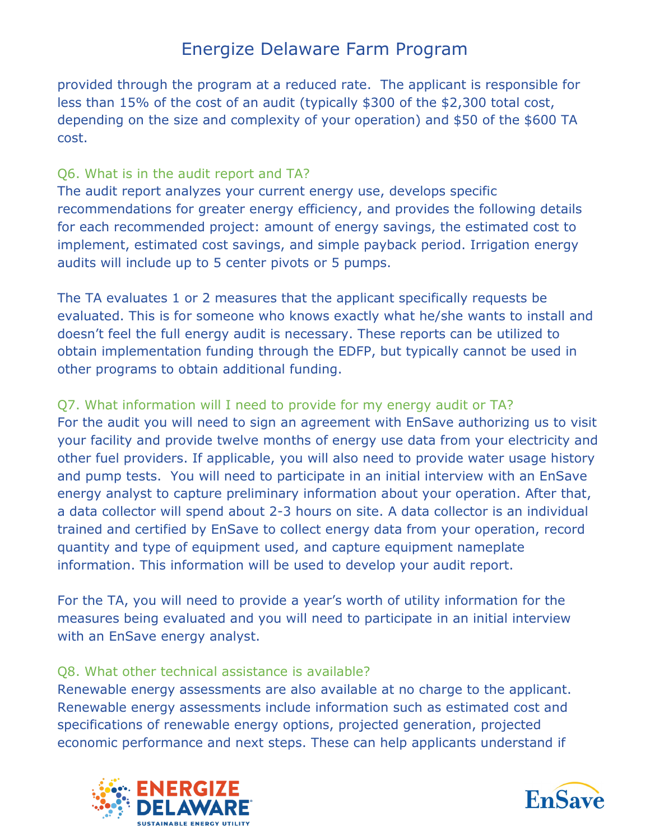provided through the program at a reduced rate. The applicant is responsible for less than 15% of the cost of an audit (typically \$300 of the \$2,300 total cost, depending on the size and complexity of your operation) and \$50 of the \$600 TA cost.

# Q6. What is in the audit report and TA?

The audit report analyzes your current energy use, develops specific recommendations for greater energy efficiency, and provides the following details for each recommended project: amount of energy savings, the estimated cost to implement, estimated cost savings, and simple payback period. Irrigation energy audits will include up to 5 center pivots or 5 pumps.

The TA evaluates 1 or 2 measures that the applicant specifically requests be evaluated. This is for someone who knows exactly what he/she wants to install and doesn't feel the full energy audit is necessary. These reports can be utilized to obtain implementation funding through the EDFP, but typically cannot be used in other programs to obtain additional funding.

# Q7. What information will I need to provide for my energy audit or TA?

For the audit you will need to sign an agreement with EnSave authorizing us to visit your facility and provide twelve months of energy use data from your electricity and other fuel providers. If applicable, you will also need to provide water usage history and pump tests. You will need to participate in an initial interview with an EnSave energy analyst to capture preliminary information about your operation. After that, a data collector will spend about 2-3 hours on site. A data collector is an individual trained and certified by EnSave to collect energy data from your operation, record quantity and type of equipment used, and capture equipment nameplate information. This information will be used to develop your audit report.

For the TA, you will need to provide a year's worth of utility information for the measures being evaluated and you will need to participate in an initial interview with an EnSave energy analyst.

#### Q8. What other technical assistance is available?

Renewable energy assessments are also available at no charge to the applicant. Renewable energy assessments include information such as estimated cost and specifications of renewable energy options, projected generation, projected economic performance and next steps. These can help applicants understand if



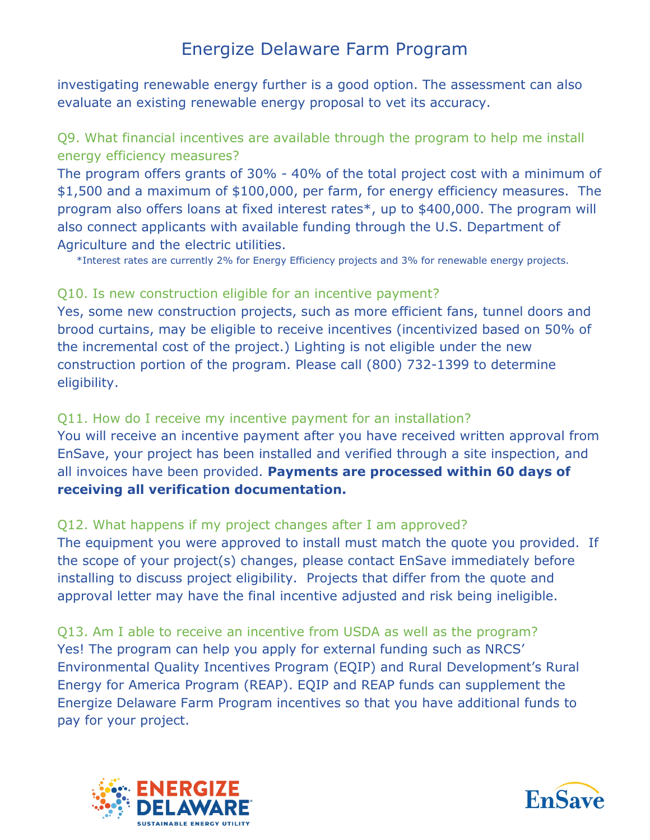investigating renewable energy further is a good option. The assessment can also evaluate an existing renewable energy proposal to vet its accuracy.

# Q9. What financial incentives are available through the program to help me install energy efficiency measures?

The program offers grants of 30% - 40% of the total project cost with a minimum of \$1,500 and a maximum of \$100,000, per farm, for energy efficiency measures. The program also offers loans at fixed interest rates\*, up to \$400,000. The program will also connect applicants with available funding through the U.S. Department of Agriculture and the electric utilities.

\*Interest rates are currently 2% for Energy Efficiency projects and 3% for renewable energy projects.

### Q10. Is new construction eligible for an incentive payment?

Yes, some new construction projects, such as more efficient fans, tunnel doors and brood curtains, may be eligible to receive incentives (incentivized based on 50% of the incremental cost of the project.) Lighting is not eligible under the new construction portion of the program. Please call (800) 732-1399 to determine eligibility.

# Q11. How do I receive my incentive payment for an installation?

You will receive an incentive payment after you have received written approval from EnSave, your project has been installed and verified through a site inspection, and all invoices have been provided. **Payments are processed within 60 days of receiving all verification documentation.** 

# Q12. What happens if my project changes after I am approved?

The equipment you were approved to install must match the quote you provided. If the scope of your project(s) changes, please contact EnSave immediately before installing to discuss project eligibility. Projects that differ from the quote and approval letter may have the final incentive adjusted and risk being ineligible.

Q13. Am I able to receive an incentive from USDA as well as the program? Yes! The program can help you apply for external funding such as NRCS' Environmental Quality Incentives Program (EQIP) and Rural Development's Rural Energy for America Program (REAP). EQIP and REAP funds can supplement the Energize Delaware Farm Program incentives so that you have additional funds to pay for your project.